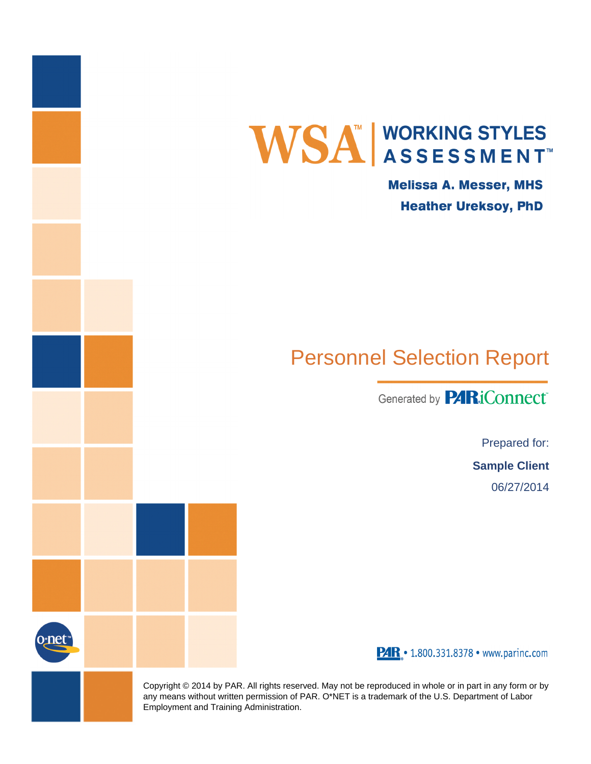

**Melissa A. Messer, MHS Heather Ureksoy, PhD** 

# Personnel Selection Report

Generated by **PARiConnect** 

Prepared for:

**Sample Client**

06/27/2014



PAR . 1.800.331.8378 · www.parinc.com

Copyright © 2014 by PAR. All rights reserved. May not be reproduced in whole or in part in any form or by any means without written permission of PAR. O\*NET is a trademark of the U.S. Department of Labor Employment and Training Administration.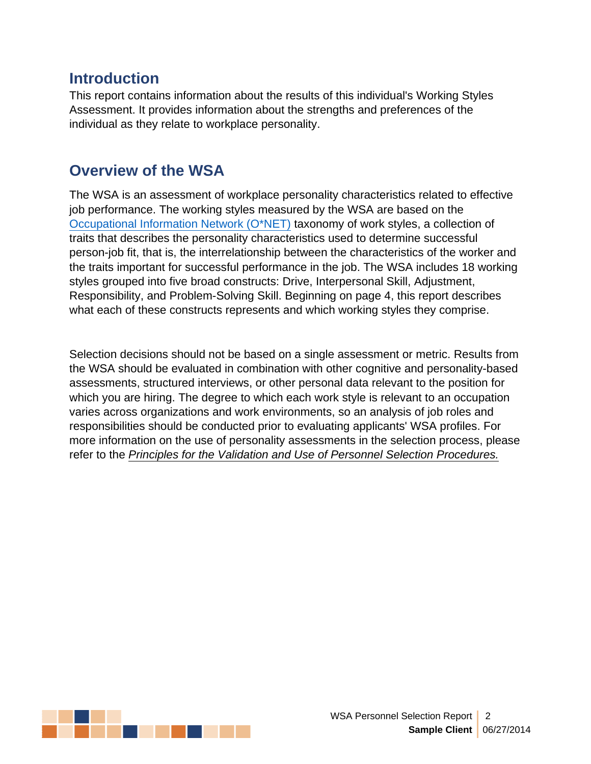#### **Introduction**

This report contains information about the results of this individual's Working Styles Assessment. It provides information about the strengths and preferences of the individual as they relate to workplace personality.

#### **Overview of the WSA**

The WSA is an assessment of workplace personality characteristics related to effective job performance. The working styles measured by the WSA are based on the [Occupational](http://www.onetonline.org) Information Network (O\*NET) taxonomy of work styles, a collection of traits that describes the personality characteristics used to determine successful person-job fit, that is, the interrelationship between the characteristics of the worker and the traits important for successful performance in the job. The WSA includes 18 working styles grouped into five broad constructs: Drive, Interpersonal Skill, Adjustment, Responsibility, and Problem-Solving Skill. Beginning on page 4, this report describes what each of these constructs represents and which working styles they comprise.

Selection decisions should not be based on a single assessment or metric. Results from the WSA should be evaluated in combination with other cognitive and personality-based assessments, structured interviews, or other personal data relevant to the position for which you are hiring. The degree to which each work style is relevant to an occupation varies across organizations and work environments, so an analysis of job roles and responsibilities should be conducted prior to evaluating applicants' WSA profiles. For more information on the use of personality assessments in the selection process, please refer to the *Principles for the Validation and Use of Personnel Selection [Procedures.](http://www.siop.org/_principles/principles.pdf)*

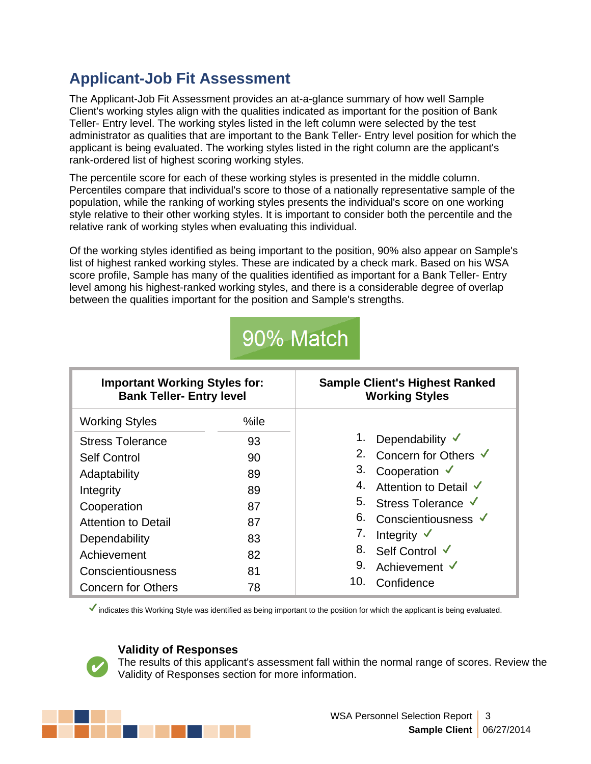# **Applicant-Job Fit Assessment**

The Applicant-Job Fit Assessment provides an at-a-glance summary of how well Sample Client's working styles align with the qualities indicated as important for the position of Bank Teller- Entry level. The working styles listed in the left column were selected by the test administrator as qualities that are important to the Bank Teller- Entry level position for which the applicant is being evaluated. The working styles listed in the right column are the applicant's rank-ordered list of highest scoring working styles.

The percentile score for each of these working styles is presented in the middle column. Percentiles compare that individual's score to those of a nationally representative sample of the population, while the ranking of working styles presents the individual's score on one working style relative to their other working styles. It is important to consider both the percentile and the relative rank of working styles when evaluating this individual.

Of the working styles identified as being important to the position, 90% also appear on Sample's list of highest ranked working styles. These are indicated by a check mark. Based on his WSA score profile, Sample has many of the qualities identified as important for a Bank Teller- Entry level among his highest-ranked working styles, and there is a considerable degree of overlap between the qualities important for the position and Sample's strengths.

# 90% Match

| <b>Important Working Styles for:</b><br><b>Bank Teller- Entry level</b> |      | <b>Sample Client's Highest Ranked</b><br><b>Working Styles</b> |  |  |  |
|-------------------------------------------------------------------------|------|----------------------------------------------------------------|--|--|--|
| <b>Working Styles</b>                                                   | %ile |                                                                |  |  |  |
| <b>Stress Tolerance</b>                                                 | 93   | Dependability $\checkmark$                                     |  |  |  |
| <b>Self Control</b>                                                     | 90   | 2. Concern for Others √                                        |  |  |  |
| Adaptability                                                            | 89   | 3.<br>Cooperation $\checkmark$                                 |  |  |  |
| Integrity                                                               | 89   | 4.<br>Attention to Detail V                                    |  |  |  |
| Cooperation                                                             | 87   | 5. Stress Tolerance V                                          |  |  |  |
| <b>Attention to Detail</b>                                              | 87   | 6.<br>Conscientiousness V                                      |  |  |  |
| Dependability                                                           | 83   | 7.<br>Integrity $\checkmark$                                   |  |  |  |
| Achievement                                                             | 82   | 8.<br>Self Control V                                           |  |  |  |
| Conscientiousness                                                       | 81   | 9.<br>Achievement √                                            |  |  |  |
| <b>Concern for Others</b>                                               | 78   | 10.<br>Confidence                                              |  |  |  |

Indicates this Working Style was identified as being important to the position for which the applicant is being evaluated.

#### **Validity of Responses**

The results of this applicant's assessment fall within the normal range of scores. Review the Validity of Responses section for more information.

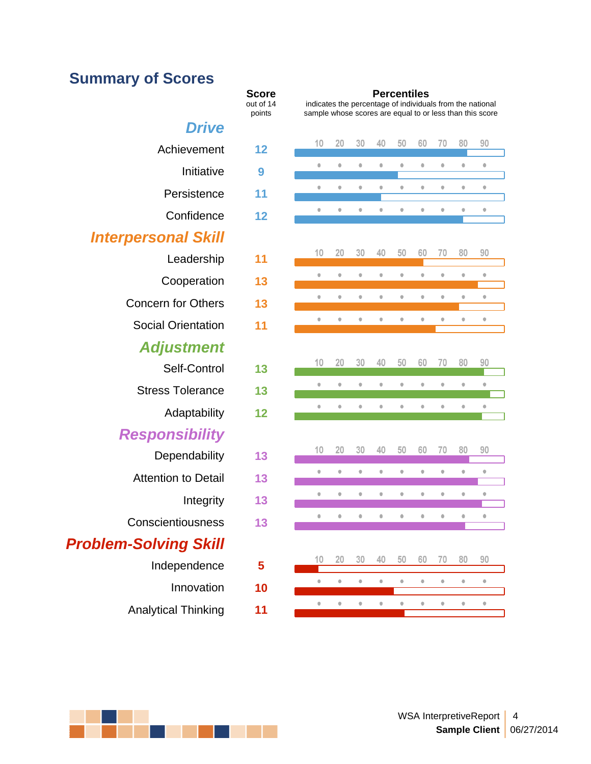# **Summary of Scores**

|                              | out of 14<br>points | indicates the percentage<br>sample whose scores are |                       |           |           |  |
|------------------------------|---------------------|-----------------------------------------------------|-----------------------|-----------|-----------|--|
| Drive                        |                     |                                                     |                       |           |           |  |
| Achievement                  | 12                  | 10                                                  | 20                    | 30        | 40        |  |
| Initiative                   | 9                   | $\color{black} \bullet$                             | $\bullet$             | $\bullet$ | $\bullet$ |  |
| Persistence                  | 11                  | $\bullet$                                           | $\bullet$             | $\bullet$ | $\bullet$ |  |
| Confidence                   | 12                  | $\bullet$                                           | $\bullet$             | $\bullet$ | $\bullet$ |  |
| <b>Interpersonal Skill</b>   |                     |                                                     |                       |           |           |  |
| Leadership                   | 11                  | 10                                                  | 20                    | 30        | 40        |  |
| Cooperation                  | 13                  | $\qquad \qquad \circ$                               | $\color{red} \bullet$ | $\bullet$ | $\bullet$ |  |
| <b>Concern for Others</b>    | 13                  | $\bullet$                                           | $\bullet$             | $\bullet$ | $\bullet$ |  |
| <b>Social Orientation</b>    | 11                  | $\bullet$                                           | $\bullet$             | $\bullet$ | $\bullet$ |  |
| Adjustment                   |                     |                                                     |                       |           |           |  |
| Self-Control                 | 13                  | 10                                                  | 20                    | 30        | 40        |  |
| <b>Stress Tolerance</b>      | 13                  | $\bullet$                                           | $\bullet$             | $\bullet$ | $\bullet$ |  |
| Adaptability                 | 12                  |                                                     |                       | $\bullet$ | $\bullet$ |  |
| Responsibility               |                     |                                                     |                       |           |           |  |
| Dependability                | 13                  | 10                                                  | 20                    | 30        | 40        |  |
| <b>Attention to Detail</b>   | 13                  | $\bullet$                                           | $\bullet$             | $\bullet$ | $\bullet$ |  |
| Integrity                    | 13                  | $\bullet$                                           | $\bullet$             | $\bullet$ | $\bullet$ |  |
| Conscientiousness            | 13                  | $\bullet$                                           | $\bullet$             | $\bullet$ | $\bullet$ |  |
|                              |                     |                                                     |                       |           |           |  |
| <b>Problem-Solving Skill</b> |                     | 10                                                  | 20                    | 30        | 40        |  |
| Independence                 | 5                   | $\color{red} \bullet$                               | $\bullet$             | $\bullet$ | $\bullet$ |  |
| Innovation                   | 10                  | $\color{black} \bullet$                             | $\bullet$             | $\bullet$ | $\bullet$ |  |
| <b>Analytical Thinking</b>   | 11                  |                                                     |                       |           |           |  |

#### **Score**

out of 14 indicates the per-**Score**<br>
ut of 14 indicates the percentage of individuals from the national<br>
points sample whose scores are equal to or less than this score indicates the percentage of individuals from the national sample whose scores are equal to or less than this score

| evement    | 12 | 10        | 20                    | 30        | 40                      | 50                      | 60                      | 70                      | 80                    | 90                      |
|------------|----|-----------|-----------------------|-----------|-------------------------|-------------------------|-------------------------|-------------------------|-----------------------|-------------------------|
| Initiative | 9  | $\bullet$ | $\bullet$             | $\bullet$ | $\bullet$               | $\bullet$               | $\qquad \qquad \bullet$ | $\bullet$               | $\bullet$             | $\qquad \qquad \bullet$ |
| sistence   | 11 | $\bullet$ | $\bullet$             | $\bullet$ | $\bullet$               | $\bullet$               | $\bullet$               | $\bullet$               | $\bullet$             | $\bullet$               |
| nfidence   | 12 | $\circ$   | $\color{red} \bullet$ | $\bullet$ | $\bullet$               | $\bullet$               | $\bullet$               | $\bullet$               | $\bullet$             | $\qquad \qquad \bullet$ |
| ıl Skill   |    |           |                       |           |                         |                         |                         |                         |                       |                         |
| adership   | 11 | 10        | 20                    | 30        | 40                      | 50                      | 60                      | 70                      | 80                    | 90                      |
| peration   | 13 | $\bullet$ | $\color{red} \bullet$ | $\bullet$ | $\bullet$               | $\bullet$               | $\bullet$               | $\bullet$               | $\bullet$             | $\color{red} \bullet$   |
| r Others   | 13 | $\bullet$ | $\bullet$             | $\bullet$ | $\color{black} \bullet$ | $\bullet$               | $\bullet$               | $\bullet$               | $\color{red} \bullet$ | $\bullet$               |
| ientation  | 11 | $\bullet$ | $\bullet$             | $\bullet$ | $\bullet$               | $\bullet$               | $\bullet$               | $\bullet$               | $\bullet$             | $\bullet$               |
| tment      |    |           |                       |           |                         |                         |                         |                         |                       |                         |
| -Control   | 13 | 10        | 20                    | 30        | 40                      | 50                      | 60                      | 70                      | 80                    | 90                      |
| blerance   | 13 | $\bullet$ | $\bullet$             | $\bullet$ | $\bullet$               | $\bullet$               | $\bullet$               | $\bullet$               | $\bullet$             | $\bullet$               |
| aptability | 12 | $\bullet$ | $\bullet$             | $\bullet$ | $\bullet$               | $\bullet$               | $\bullet$               | $\bullet$               | $\bullet$             | $\bullet$               |
| ibility    |    |           |                       |           |                         |                         |                         |                         |                       |                         |
| ndability  | 13 | 10        | 20                    | 30        | 40                      | 50                      | 60                      | 70                      | 80                    | 90                      |
| to Detail  | 13 | $\bullet$ | $\bullet$             | $\bullet$ | $\color{red} \bullet$   | $\bullet$               | $\bullet$               | $\bullet$               | $\bullet$             | $\bullet$               |
| Integrity  | 13 | $\bullet$ | $\bullet$             | $\bullet$ | $\bullet$               | $\color{black} \bullet$ | $\bullet$               | $\bullet$               | $\bullet$             | $\qquad \qquad \circ$   |
| ousness    | 13 | $\bullet$ | $\bullet$             | $\bullet$ | $\bullet$               | $\bullet$               | $\bullet$               | $\bullet$               | $\bullet$             | $\bullet$               |
| g Skill    |    |           |                       |           |                         |                         |                         |                         |                       |                         |
| endence    | 5  | 10        | 20                    | 30        | 40                      | 50                      | 60                      | 70                      | 80                    | 90                      |
| novation   | 10 | $\bullet$ | $\bullet$             | $\bullet$ | $\bullet$               | $\bullet$               | $\bullet$               | $\bullet$               | $\bullet$             | $\qquad \qquad \bullet$ |
|            |    | $\bullet$ | $\bullet$             | $\bullet$ | $\bullet$               | $\bullet$               | $\bullet$               | $\qquad \qquad \bullet$ | $\color{red} \bullet$ | $\bullet$               |
| Thinkinn   | 11 |           |                       |           |                         |                         |                         |                         |                       |                         |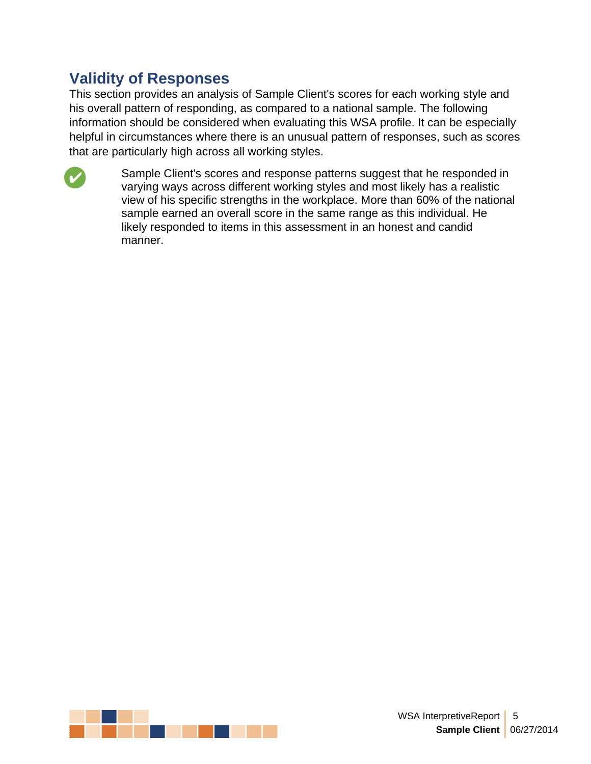#### **Validity of Responses**

This section provides an analysis of Sample Client's scores for each working style and his overall pattern of responding, as compared to a national sample. The following information should be considered when evaluating this WSA profile. It can be especially helpful in circumstances where there is an unusual pattern of responses, such as scores that are particularly high across all working styles.



Sample Client's scores and response patterns suggest that he responded in varying ways across different working styles and most likely has a realistic view of his specific strengths in the workplace. More than 60% of the national sample earned an overall score in the same range as this individual. He likely responded to items in this assessment in an honest and candid manner.

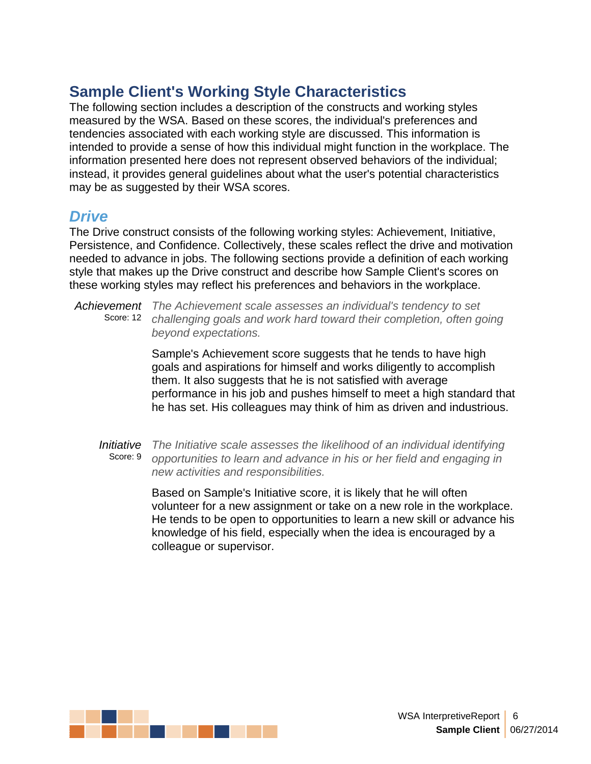The following section includes a description of the constructs and working styles measured by the WSA. Based on these scores, the individual's preferences and tendencies associated with each working style are discussed. This information is intended to provide a sense of how this individual might function in the workplace. The information presented here does not represent observed behaviors of the individual; instead, it provides general guidelines about what the user's potential characteristics may be as suggested by their WSA scores.

#### *Drive*

The Drive construct consists of the following working styles: Achievement, Initiative, Persistence, and Confidence. Collectively, these scales reflect the drive and motivation needed to advance in jobs. The following sections provide a definition of each working style that makes up the Drive construct and describe how Sample Client's scores on these working styles may reflect his preferences and behaviors in the workplace.

*Achievement The Achievement scale assesses an individual's tendency to set* Score: 12 *challenging goals and work hard toward their completion, often going beyond expectations.*

> Sample's Achievement score suggests that he tends to have high goals and aspirations for himself and works diligently to accomplish them. It also suggests that he is not satisfied with average performance in his job and pushes himself to meet a high standard that he has set. His colleagues may think of him as driven and industrious.

*Initiative The Initiative scale assesses the likelihood of an individual identifying* Score: 9 *opportunities to learn and advance in his or her field and engaging in new activities and responsibilities.*

> Based on Sample's Initiative score, it is likely that he will often volunteer for a new assignment or take on a new role in the workplace. He tends to be open to opportunities to learn a new skill or advance his knowledge of his field, especially when the idea is encouraged by a colleague or supervisor.

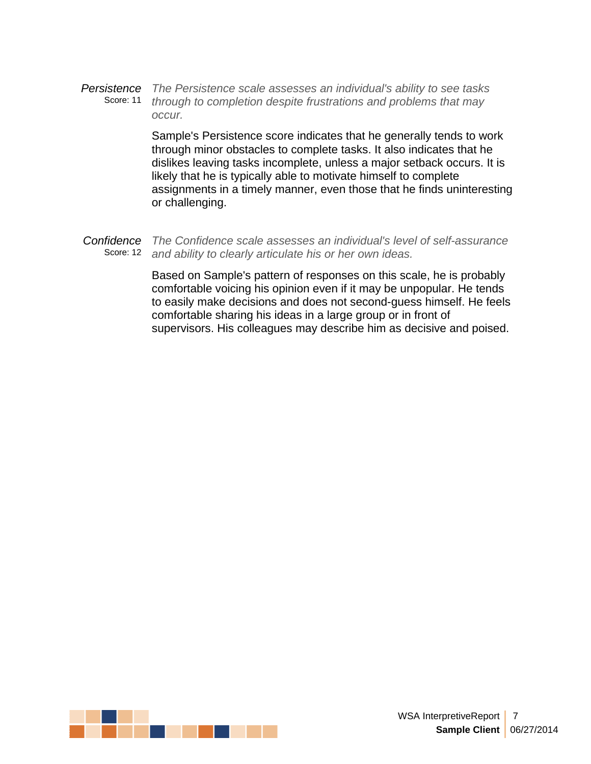*Persistence The Persistence scale assesses an individual's ability to see tasks* Score: 11 *through to completion despite frustrations and problems that may occur.*

> Sample's Persistence score indicates that he generally tends to work through minor obstacles to complete tasks. It also indicates that he dislikes leaving tasks incomplete, unless a major setback occurs. It is likely that he is typically able to motivate himself to complete assignments in a timely manner, even those that he finds uninteresting or challenging.

*Confidence The Confidence scale assesses an individual's level of self-assurance* Score: 12 *and ability to clearly articulate his or her own ideas.*

> Based on Sample's pattern of responses on this scale, he is probably comfortable voicing his opinion even if it may be unpopular. He tends to easily make decisions and does not second-guess himself. He feels comfortable sharing his ideas in a large group or in front of supervisors. His colleagues may describe him as decisive and poised.

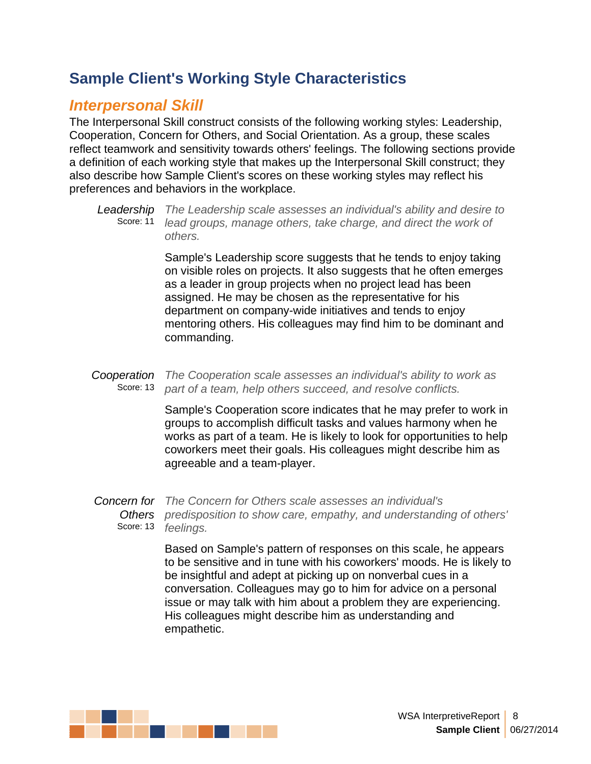#### *Interpersonal Skill*

The Interpersonal Skill construct consists of the following working styles: Leadership, Cooperation, Concern for Others, and Social Orientation. As a group, these scales reflect teamwork and sensitivity towards others' feelings. The following sections provide a definition of each working style that makes up the Interpersonal Skill construct; they also describe how Sample Client's scores on these working styles may reflect his preferences and behaviors in the workplace.

*Leadership The Leadership scale assesses an individual's ability and desire to* Score: 11 *lead groups, manage others, take charge, and direct the work of others.*

> Sample's Leadership score suggests that he tends to enjoy taking on visible roles on projects. It also suggests that he often emerges as a leader in group projects when no project lead has been assigned. He may be chosen as the representative for his department on company-wide initiatives and tends to enjoy mentoring others. His colleagues may find him to be dominant and commanding.

*Cooperation The Cooperation scale assesses an individual's ability to work as* Score: 13 *part of a team, help others succeed,and resolve conflicts.*

> Sample's Cooperation score indicates that he may prefer to work in groups to accomplish difficult tasks and values harmony when he works as part of a team. He is likely to look for opportunities to help coworkers meet their goals. His colleagues might describe him as agreeable and a team-player.

*Concern for The Concern for Others scale assesses an individual's Others predisposition to show care, empathy, and understanding of others'* Score: 13 *feelings.*

> Based on Sample's pattern of responses on this scale, he appears to be sensitive and in tune with his coworkers' moods. He is likely to be insightful and adept at picking up on nonverbal cues in a conversation. Colleagues may go to him for advice on a personal issue or may talk with him about a problem they are experiencing. His colleagues might describe him as understanding and empathetic.

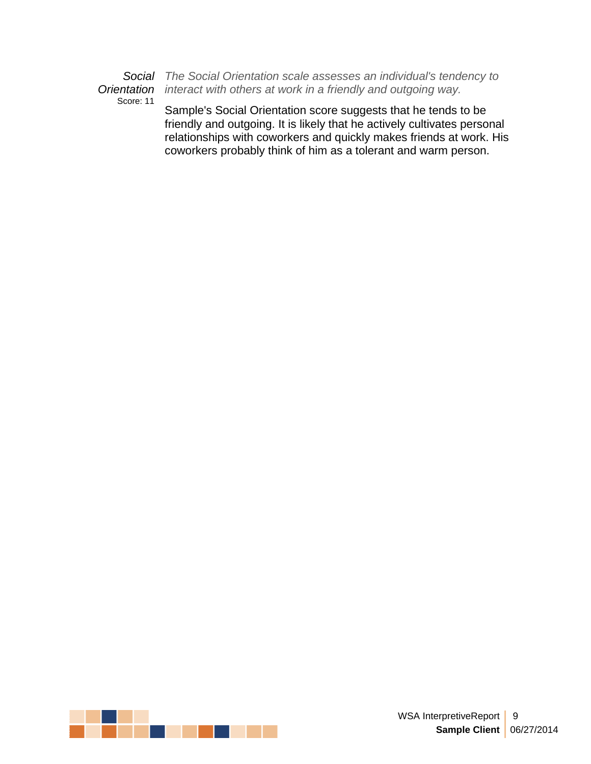Score: 11

*Social The Social Orientation scale assesses an individual's tendency to Orientation interact with others at work in a friendly and outgoing way.*

> Sample's Social Orientation score suggests that he tends to be friendly and outgoing. It is likely that he actively cultivates personal relationships with coworkers and quickly makes friends at work. His coworkers probably think of him as a tolerant and warm person.

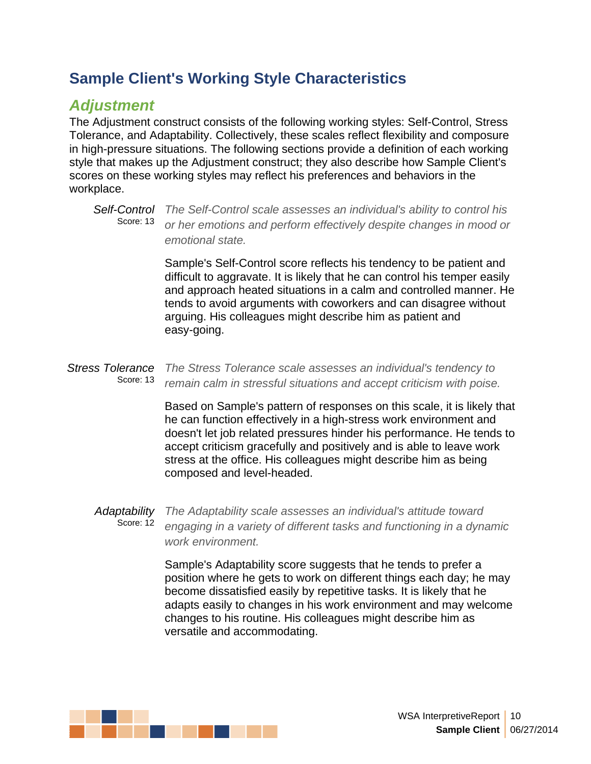#### *Adjustment*

The Adjustment construct consists of the following working styles: Self-Control, Stress Tolerance, and Adaptability. Collectively, these scales reflect flexibility and composure in high-pressure situations. The following sections provide a definition of each working style that makes up the Adjustment construct; they also describe how Sample Client's scores on these working styles may reflect his preferences and behaviors in the workplace.

Sample's Self-Control score reflects his tendency to be patient and difficult to aggravate. It is likely that he can control his temper easily and approach heated situations in a calm and controlled manner. He tends to avoid arguments with coworkers and can disagree without arguing. His colleagues might describe him as patient and easy-going.

*Stress Tolerance The Stress Tolerance scale assesses an individual's tendency to* Score: 13 *remain calm in stressful situations and accept criticism with poise.*

> Based on Sample's pattern of responses on this scale, it is likely that he can function effectively in a high-stress work environment and doesn't let job related pressures hinder his performance. He tends to accept criticism gracefully and positively and is able to leave work stress at the office. His colleagues might describe him as being composed and level-headed.

*Adaptability The Adaptability scale assesses an individual's attitude toward* Score: 12 *engaging in a variety of different tasks and functioning in a dynamic work environment.*

> Sample's Adaptability score suggests that he tends to prefer a position where he gets to work on different things each day; he may become dissatisfied easily by repetitive tasks. It is likely that he adapts easily to changes in his work environment and may welcome changes to his routine. His colleagues might describe him as versatile and accommodating.



*Self-Control The Self-Control scale assesses an individual's ability to control his* Score: 13 *or her emotions and perform effectively despite changes in mood or emotional state.*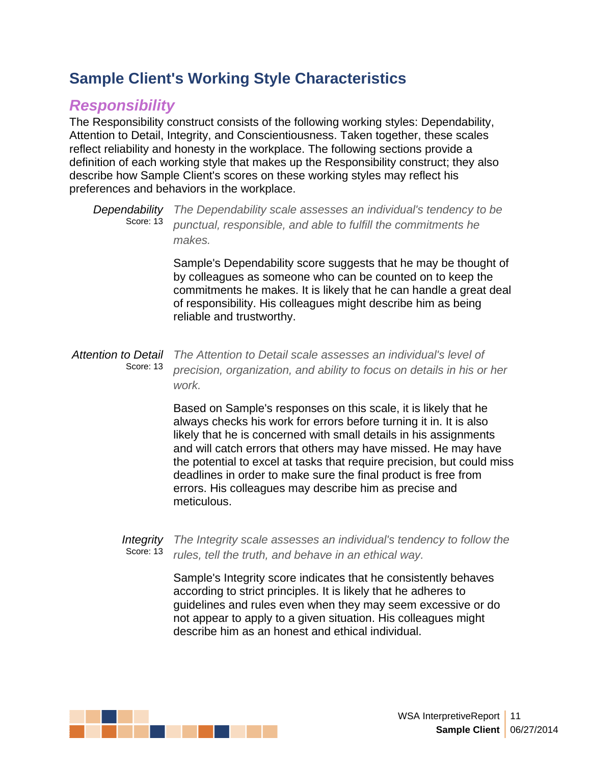### *Responsibility*

The Responsibility construct consists of the following working styles: Dependability, Attention to Detail, Integrity, and Conscientiousness. Taken together, these scales reflect reliability and honesty in the workplace. The following sections provide a definition of each working style that makes up the Responsibility construct; they also describe how Sample Client's scores on these working styles may reflect his preferences and behaviors in the workplace.

*Dependability The Dependability scale assesses an individual's tendency to be* Score: 13 *punctual, responsible, and able to fulfill the commitments he makes.*

Sample's Dependability score suggests that he may be thought of by colleagues as someone who can be counted on to keep the commitments he makes. It is likely that he can handle a great deal of responsibility. His colleagues might describe him as being reliable and trustworthy.

#### *Attention to Detail The Attention to Detail scale assesses an individual's level of* Score: 13 *precision, organization, and ability to focus on details in his or her work.*

Based on Sample's responses on this scale, it is likely that he always checks his work for errors before turning it in. It is also likely that he is concerned with small details in his assignments and will catch errors that others may have missed. He may have the potential to excel at tasks that require precision, but could miss deadlines in order to make sure the final product is free from errors. His colleagues may describe him as precise and meticulous.

#### *Integrity The Integrity scale assesses an individual's tendency to follow the* Score: 13 *rules, tell the truth, and behave in an ethical way.*

Sample's Integrity score indicates that he consistently behaves according to strict principles. It is likely that he adheres to guidelines and rules even when they may seem excessive or do not appear to apply to a given situation. His colleagues might describe him as an honest and ethical individual.

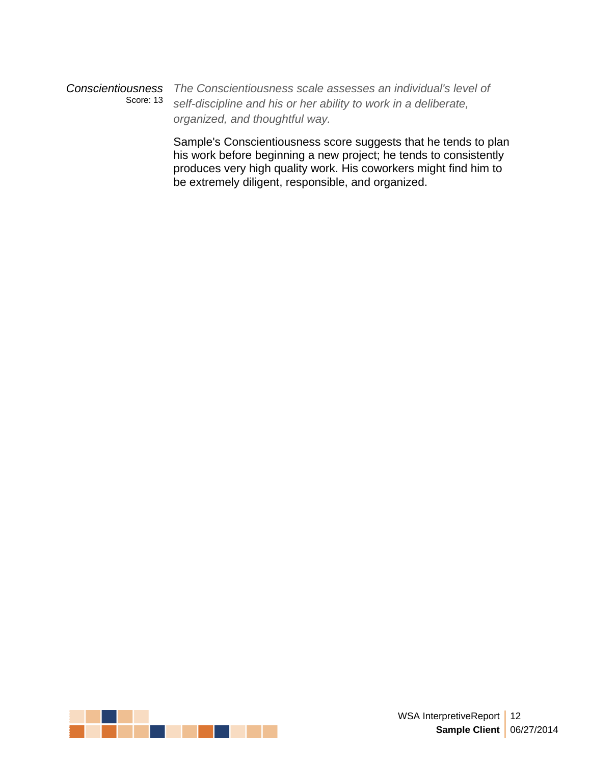*Conscientiousness The Conscientiousness scale assesses an individual's level of* Score: 13 *self-discipline and his or her ability to work in a deliberate, organized, and thoughtful way.*

> Sample's Conscientiousness score suggests that he tends to plan his work before beginning a new project; he tends to consistently produces very high quality work. His coworkers might find him to be extremely diligent, responsible, and organized.

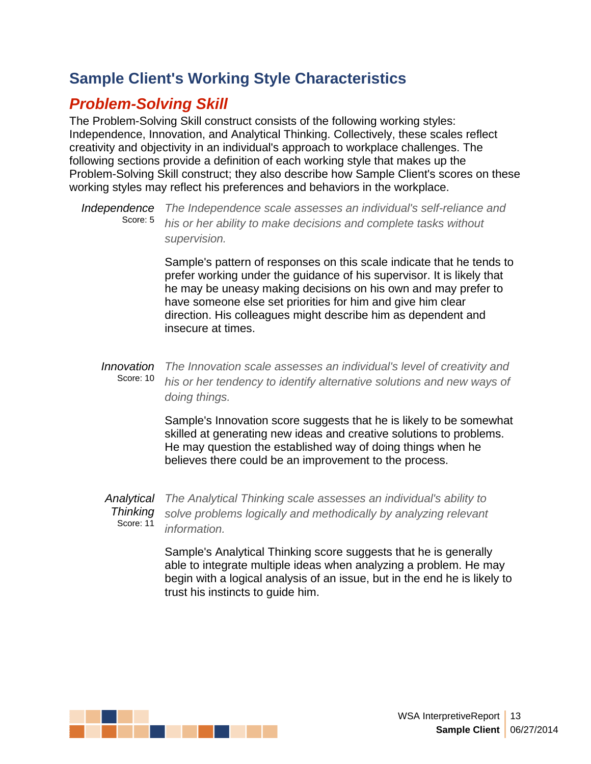# *Problem-Solving Skill*

The Problem-Solving Skill construct consists of the following working styles: Independence, Innovation, and Analytical Thinking. Collectively, these scales reflect creativity and objectivity in an individual's approach to workplace challenges. The following sections provide a definition of each working style that makes up the Problem-Solving Skill construct; they also describe how Sample Client's scores on these working styles may reflect his preferences and behaviors in the workplace.

*Independence The Independence scale assesses an individual's self-reliance and* Score: 5 *his or her ability to make decisions and complete tasks without supervision.*

> Sample's pattern of responses on this scale indicate that he tends to prefer working under the guidance of his supervisor. It is likely that he may be uneasy making decisions on his own and may prefer to have someone else set priorities for him and give him clear direction. His colleagues might describe him as dependent and insecure at times.

*Innovation The Innovation scale assesses an individual's level of creativity and* Score: 10 *his or her tendency to identify alternative solutions and new ways of doing things.*

> Sample's Innovation score suggests that he is likely to be somewhat skilled at generating new ideas and creative solutions to problems. He may question the established way of doing things when he believes there could be an improvement to the process.

*Analytical The Analytical Thinking scale assesses an individual's ability to Thinking solve problems logically and methodically by analyzing relevant* Score: 11 *information.*

> Sample's Analytical Thinking score suggests that he is generally able to integrate multiple ideas when analyzing a problem. He may begin with a logical analysis of an issue, but in the end he is likely to trust his instincts to guide him.

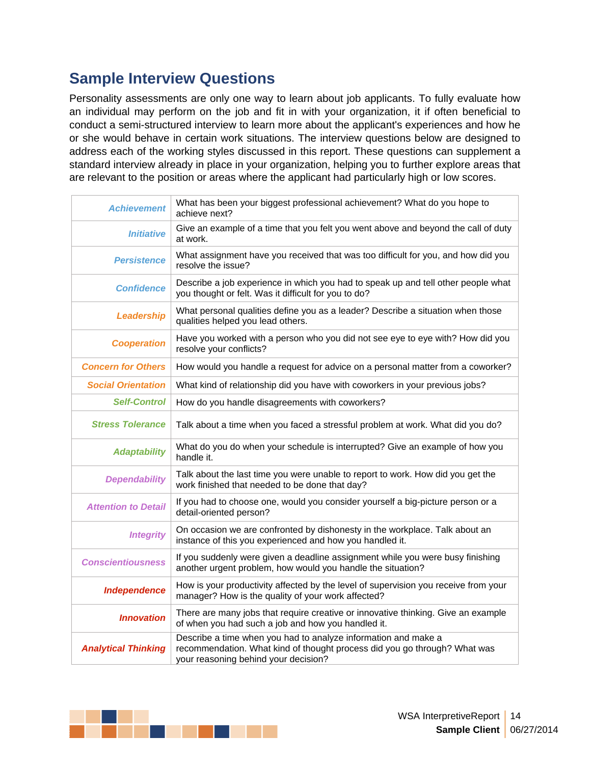Personality assessments are only one way to learn about job applicants. To fully evaluate how an individual may perform on the job and fit in with your organization, it if often beneficial to conduct a semi-structured interview to learn more about the applicant's experiences and how he or she would behave in certain work situations. The interview questions below are designed to address each of the working styles discussed in this report. These questions can supplement a standard interview already in place in your organization, helping you to further explore areas that **Sample Interview Questions**<br>Personality assessments are only one way to learn about job applicants. To fully evaluate how<br>an individual may perform on the job and fit in with your organization, it if often beneficial to<br>c

| <b>Achievement</b>         | What has been your biggest professional achievement? What do you hope to<br>achieve next?                                                                                           |
|----------------------------|-------------------------------------------------------------------------------------------------------------------------------------------------------------------------------------|
| Initiative                 | Give an example of a time that you felt you went above and beyond the call of duty<br>at work.                                                                                      |
| Persistence                | What assignment have you received that was too difficult for you, and how did you<br>resolve the issue?                                                                             |
| Confidence                 | Describe a job experience in which you had to speak up and tell other people what<br>you thought or felt. Was it difficult for you to do?                                           |
| Leadership                 | What personal qualities define you as a leader? Describe a situation when those<br>qualities helped you lead others.                                                                |
| Cooperation                | Have you worked with a person who you did not see eye to eye with? How did you<br>resolve your conflicts?                                                                           |
| <b>Concern for Others</b>  | How would you handle a request for advice on a personal matter from a coworker?                                                                                                     |
| <b>Social Orientation</b>  | What kind of relationship did you have with coworkers in your previous jobs?                                                                                                        |
| Self-Control               | How do you handle disagreements with coworkers?                                                                                                                                     |
| <b>Stress Tolerance</b>    | Talk about a time when you faced a stressful problem at work. What did you do?                                                                                                      |
| Adaptability               | What do you do when your schedule is interrupted? Give an example of how you<br>handle it.                                                                                          |
| Dependability              | Talk about the last time you were unable to report to work. How did you get the<br>work finished that needed to be done that day?                                                   |
| <b>Attention to Detail</b> | If you had to choose one, would you consider yourself a big-picture person or a<br>detail-oriented person?                                                                          |
| Integrity                  | On occasion we are confronted by dishonesty in the workplace. Talk about an<br>instance of this you experienced and how you handled it.                                             |
| <b>Conscientiousness</b>   | If you suddenly were given a deadline assignment while you were busy finishing<br>another urgent problem, how would you handle the situation?                                       |
| Independence               | How is your productivity affected by the level of supervision you receive from your<br>manager? How is the quality of your work affected?                                           |
| <i><b>Innovation</b></i>   | There are many jobs that require creative or innovative thinking. Give an example<br>of when you had such a job and how you handled it.                                             |
| <b>Analytical Thinking</b> | Describe a time when you had to analyze information and make a<br>recommendation. What kind of thought process did you go through? What was<br>your reasoning behind your decision? |